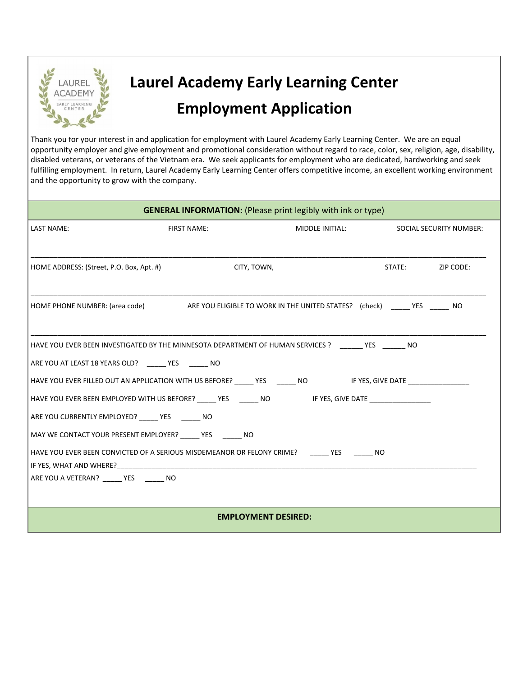

## **Laurel Academy Early Learning Center Employment Application**

Thank you for your interest in and application for employment with Laurel Academy Early Learning Center. We are an equal opportunity employer and give employment and promotional consideration without regard to race, color, sex, religion, age, disability, disabled veterans, or veterans of the Vietnam era. We seek applicants for employment who are dedicated, hardworking and seek fulfilling employment. In return, Laurel Academy Early Learning Center offers competitive income, an excellent working environment and the opportunity to grow with the company.

| <b>GENERAL INFORMATION:</b> (Please print legibly with ink or type)                                             |                    |                 |                         |           |  |
|-----------------------------------------------------------------------------------------------------------------|--------------------|-----------------|-------------------------|-----------|--|
| <b>LAST NAME:</b>                                                                                               | <b>FIRST NAME:</b> | MIDDLE INITIAL: | SOCIAL SECURITY NUMBER: |           |  |
|                                                                                                                 |                    |                 |                         |           |  |
| HOME ADDRESS: (Street, P.O. Box, Apt. #)                                                                        | CITY, TOWN,        |                 | STATE: THE STATE:       | ZIP CODE: |  |
|                                                                                                                 |                    |                 |                         |           |  |
| HOME PHONE NUMBER: (area code) ARE YOU ELIGIBLE TO WORK IN THE UNITED STATES? (check) _____ YES ______ NO       |                    |                 |                         |           |  |
|                                                                                                                 |                    |                 |                         |           |  |
| HAVE YOU EVER BEEN INVESTIGATED BY THE MINNESOTA DEPARTMENT OF HUMAN SERVICES ? ______ YES ______ NO            |                    |                 |                         |           |  |
| ARE YOU AT LEAST 18 YEARS OLD? YES NO                                                                           |                    |                 |                         |           |  |
| HAVE YOU EVER FILLED OUT AN APPLICATION WITH US BEFORE? ______YES _______NO       IF YES, GIVE DATE ___________ |                    |                 |                         |           |  |
| HAVE YOU EVER BEEN EMPLOYED WITH US BEFORE? _______YES ________NO       IF YES, GIVE DATE ____________________  |                    |                 |                         |           |  |
| ARE YOU CURRENTLY EMPLOYED? _____ YES ______ NO                                                                 |                    |                 |                         |           |  |
| MAY WE CONTACT YOUR PRESENT EMPLOYER? _____ YES ______ NO                                                       |                    |                 |                         |           |  |
| HAVE YOU EVER BEEN CONVICTED OF A SERIOUS MISDEMEANOR OR FELONY CRIME? THES THEST THO                           |                    |                 |                         |           |  |
| ARE YOU A VETERAN? YES NO                                                                                       |                    |                 |                         |           |  |
|                                                                                                                 |                    |                 |                         |           |  |
| <b>EMPLOYMENT DESIRED:</b>                                                                                      |                    |                 |                         |           |  |
|                                                                                                                 |                    |                 |                         |           |  |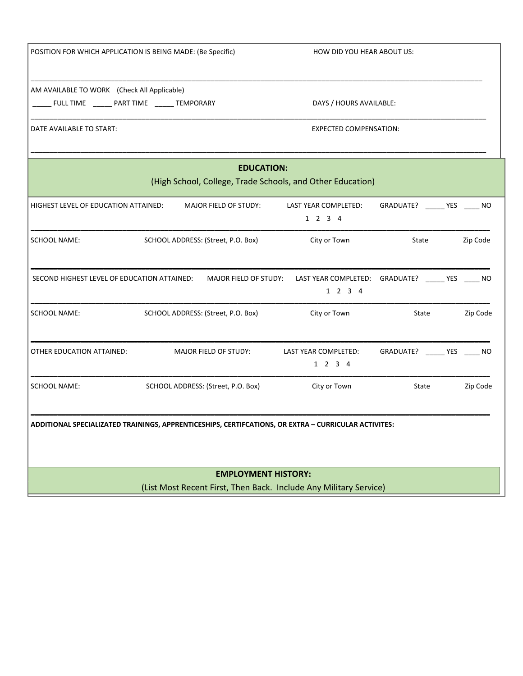| POSITION FOR WHICH APPLICATION IS BEING MADE: (Be Specific)                                          |                                    | HOW DID YOU HEAR ABOUT US:                                  |                               |  |          |  |
|------------------------------------------------------------------------------------------------------|------------------------------------|-------------------------------------------------------------|-------------------------------|--|----------|--|
| AM AVAILABLE TO WORK (Check All Applicable)<br>______ FULL TIME _______ PART TIME _______ TEMPORARY  |                                    | DAYS / HOURS AVAILABLE:                                     |                               |  |          |  |
| DATE AVAILABLE TO START:                                                                             |                                    | <b>EXPECTED COMPENSATION:</b>                               |                               |  |          |  |
| <b>EDUCATION:</b><br>(High School, College, Trade Schools, and Other Education)                      |                                    |                                                             |                               |  |          |  |
| HIGHEST LEVEL OF EDUCATION ATTAINED:                                                                 | MAJOR FIELD OF STUDY:              | LAST YEAR COMPLETED:<br>1 2 3 4                             | GRADUATE? ______ YES _____ NO |  |          |  |
| <b>SCHOOL NAME:</b>                                                                                  | SCHOOL ADDRESS: (Street, P.O. Box) | City or Town                                                | State                         |  | Zip Code |  |
| SECOND HIGHEST LEVEL OF EDUCATION ATTAINED:                                                          | MAJOR FIELD OF STUDY:              | LAST YEAR COMPLETED: GRADUATE? _____ YES ____ NO<br>1 2 3 4 |                               |  |          |  |
| <b>SCHOOL NAME:</b>                                                                                  | SCHOOL ADDRESS: (Street, P.O. Box) | City or Town                                                | State                         |  | Zip Code |  |
| OTHER EDUCATION ATTAINED:                                                                            | MAJOR FIELD OF STUDY:              | LAST YEAR COMPLETED:<br>1 2 3 4                             | GRADUATE? ______ YES _____ NO |  |          |  |
| <b>SCHOOL NAME:</b>                                                                                  | SCHOOL ADDRESS: (Street, P.O. Box) | City or Town                                                | State                         |  | Zip Code |  |
| ADDITIONAL SPECIALIZATED TRAININGS, APPRENTICESHIPS, CERTIFCATIONS, OR EXTRA – CURRICULAR ACTIVITES: |                                    |                                                             |                               |  |          |  |
| <b>EMPLOYMENT HISTORY:</b><br>(List Most Recent First, Then Back. Include Any Military Service)      |                                    |                                                             |                               |  |          |  |
|                                                                                                      |                                    |                                                             |                               |  |          |  |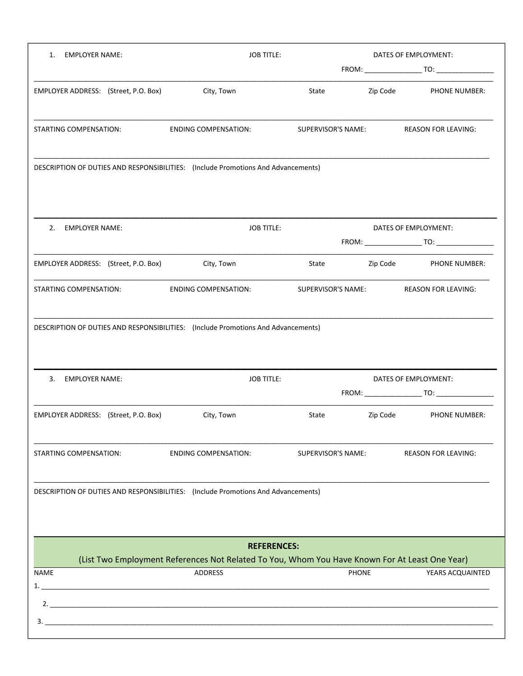| <b>EMPLOYER NAME:</b><br>1.                                                       | <b>JOB TITLE:</b><br>DATES OF EMPLOYMENT:                                                                        |                                           |                      |                            |
|-----------------------------------------------------------------------------------|------------------------------------------------------------------------------------------------------------------|-------------------------------------------|----------------------|----------------------------|
|                                                                                   |                                                                                                                  |                                           |                      |                            |
| EMPLOYER ADDRESS: (Street, P.O. Box)                                              | City, Town                                                                                                       | State                                     | Zip Code             | PHONE NUMBER:              |
| STARTING COMPENSATION:                                                            | <b>ENDING COMPENSATION:</b>                                                                                      | SUPERVISOR'S NAME:                        |                      | <b>REASON FOR LEAVING:</b> |
| DESCRIPTION OF DUTIES AND RESPONSIBILITIES: (Include Promotions And Advancements) |                                                                                                                  |                                           |                      |                            |
| <b>EMPLOYER NAME:</b><br>2.                                                       | <b>JOB TITLE:</b>                                                                                                |                                           | DATES OF EMPLOYMENT: |                            |
| EMPLOYER ADDRESS: (Street, P.O. Box)                                              | City, Town                                                                                                       | State                                     | Zip Code             | <b>PHONE NUMBER:</b>       |
| STARTING COMPENSATION:                                                            | <b>ENDING COMPENSATION:</b>                                                                                      | SUPERVISOR'S NAME:                        |                      | <b>REASON FOR LEAVING:</b> |
| 3. EMPLOYER NAME:                                                                 |                                                                                                                  | <b>JOB TITLE:</b><br>DATES OF EMPLOYMENT: |                      |                            |
| EMPLOYER ADDRESS: (Street, P.O. Box)                                              | City, Town                                                                                                       | State                                     | Zip Code             | PHONE NUMBER:              |
| STARTING COMPENSATION:                                                            | <b>ENDING COMPENSATION:</b>                                                                                      | SUPERVISOR'S NAME:                        |                      | <b>REASON FOR LEAVING:</b> |
| DESCRIPTION OF DUTIES AND RESPONSIBILITIES: (Include Promotions And Advancements) |                                                                                                                  |                                           |                      |                            |
|                                                                                   | <b>REFERENCES:</b>                                                                                               |                                           |                      |                            |
| <b>NAME</b>                                                                       | (List Two Employment References Not Related To You, Whom You Have Known For At Least One Year)<br><b>ADDRESS</b> | <b>PHONE</b>                              |                      | YEARS ACQUAINTED           |
|                                                                                   |                                                                                                                  |                                           |                      |                            |